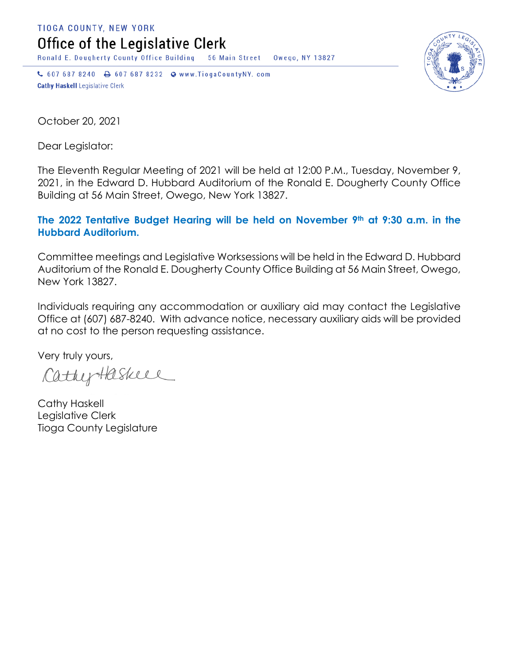TIOGA COUNTY, NEW YORK

Office of the Legislative Clerk

Ronald E. Dougherty County Office Building 56 Main Street Owego, NY 13827

↓ 607 687 8240 → 607 687 8232 → www.TiogaCountyNY.com **Cathy Haskell Legislative Clerk** 



October 20, 2021

Dear Legislator:

The Eleventh Regular Meeting of 2021 will be held at 12:00 P.M., Tuesday, November 9, 2021, in the Edward D. Hubbard Auditorium of the Ronald E. Dougherty County Office Building at 56 Main Street, Owego, New York 13827.

## **The 2022 Tentative Budget Hearing will be held on November 9th at 9:30 a.m. in the Hubbard Auditorium.**

Committee meetings and Legislative Worksessions will be held in the Edward D. Hubbard Auditorium of the Ronald E. Dougherty County Office Building at 56 Main Street, Owego, New York 13827.

Individuals requiring any accommodation or auxiliary aid may contact the Legislative Office at (607) 687-8240. With advance notice, necessary auxiliary aids will be provided at no cost to the person requesting assistance.

Very truly yours,

CathyHaskell

Cathy Haskell Legislative Clerk Tioga County Legislature